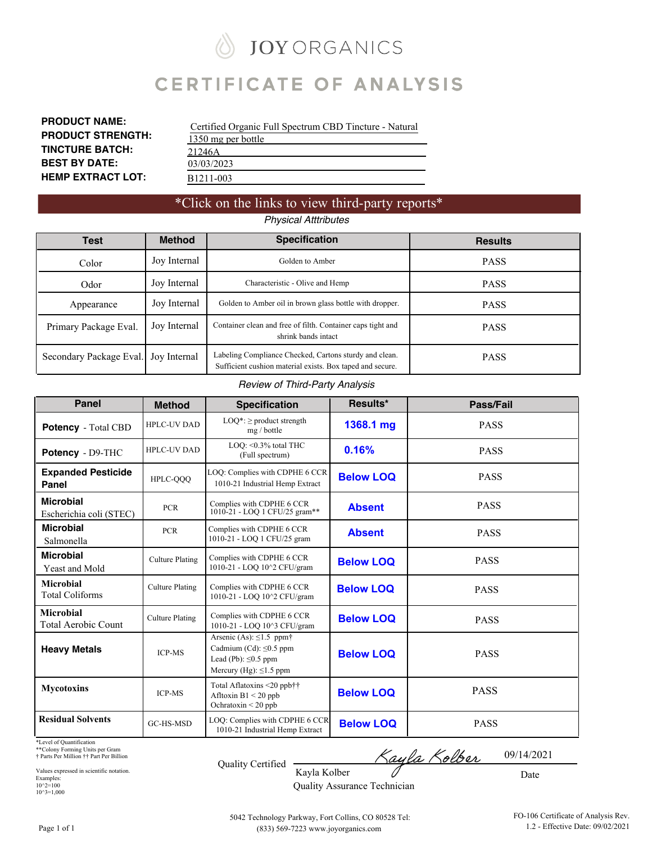### **JOY ORGANICS** ∥

# **CERTIFICATE OF ANALYSIS**

| <b>PRODUCT NAME:</b>     |
|--------------------------|
| <b>PRODUCT STRENGTH:</b> |
| <b>TINCTURE BATCH:</b>   |
| <b>BEST BY DATE:</b>     |
| <b>HEMP EXTRACT LOT:</b> |

| Certified Organic Full Spectrum CBD Tincture - Natural |
|--------------------------------------------------------|
| 1350 mg per bottle                                     |
| 21246A                                                 |
| 03/03/2023                                             |
| B <sub>1211</sub> -003                                 |

### \*Click on the links to view third-party reports\* *Physical Atttributes*

| Test                                                                                                                        | <b>Method</b> | <b>Specification</b>                                                                                                | <b>Results</b> |
|-----------------------------------------------------------------------------------------------------------------------------|---------------|---------------------------------------------------------------------------------------------------------------------|----------------|
| Color                                                                                                                       | Joy Internal  | Golden to Amber                                                                                                     | <b>PASS</b>    |
| Odor                                                                                                                        | Joy Internal  | Characteristic - Olive and Hemp                                                                                     | <b>PASS</b>    |
| Appearance                                                                                                                  | Joy Internal  | Golden to Amber oil in brown glass bottle with dropper.                                                             | <b>PASS</b>    |
| Joy Internal<br>Container clean and free of filth. Container caps tight and<br>Primary Package Eval.<br>shrink bands intact |               | <b>PASS</b>                                                                                                         |                |
| Secondary Package Eval.                                                                                                     | Joy Internal  | Labeling Compliance Checked, Cartons sturdy and clean.<br>Sufficient cushion material exists. Box taped and secure. | <b>PASS</b>    |

#### *Review of Third-Party Analysis*

| <b>Panel</b>                                | <b>Method</b>          | Results*<br><b>Specification</b>                                                                                                       |                  | Pass/Fail   |
|---------------------------------------------|------------------------|----------------------------------------------------------------------------------------------------------------------------------------|------------------|-------------|
| <b>Potency</b> - Total CBD                  | <b>HPLC-UV DAD</b>     | $LOQ^*$ : $\geq$ product strength<br>mg / bottle                                                                                       | 1368.1 mg        | <b>PASS</b> |
| Potency - D9-THC                            | <b>HPLC-UV DAD</b>     | LOO: < 0.3% total THC<br>(Full spectrum)                                                                                               | 0.16%            | <b>PASS</b> |
| <b>Expanded Pesticide</b><br>Panel          | HPLC-QQQ               | LOQ: Complies with CDPHE 6 CCR<br>1010-21 Industrial Hemp Extract                                                                      | <b>Below LOQ</b> | <b>PASS</b> |
| <b>Microbial</b><br>Escherichia coli (STEC) | <b>PCR</b>             | Complies with CDPHE 6 CCR<br>1010-21 - LOQ 1 CFU/25 gram**                                                                             | <b>Absent</b>    | <b>PASS</b> |
| <b>Microbial</b><br>Salmonella              | <b>PCR</b>             | Complies with CDPHE 6 CCR<br>1010-21 - LOQ 1 CFU/25 gram                                                                               | <b>Absent</b>    | <b>PASS</b> |
| <b>Microbial</b><br>Yeast and Mold          | <b>Culture Plating</b> | Complies with CDPHE 6 CCR<br>1010-21 - LOQ 10^2 CFU/gram                                                                               | <b>Below LOQ</b> | <b>PASS</b> |
| Microbial<br><b>Total Coliforms</b>         | <b>Culture Plating</b> | Complies with CDPHE 6 CCR<br>1010-21 - LOO 10^2 CFU/gram                                                                               | <b>Below LOO</b> | <b>PASS</b> |
| <b>Microbial</b><br>Total Aerobic Count     | <b>Culture Plating</b> | Complies with CDPHE 6 CCR<br>1010-21 - LOO 10^3 CFU/gram                                                                               | <b>Below LOQ</b> | <b>PASS</b> |
| <b>Heavy Metals</b>                         | <b>ICP-MS</b>          | Arsenic (As): $\leq$ 1.5 ppm <sup>+</sup><br>Cadmium (Cd): $\leq 0.5$ ppm<br>Lead (Pb): $\leq$ 0.5 ppm<br>Mercury (Hg): $\leq$ 1.5 ppm | <b>Below LOQ</b> | <b>PASS</b> |
| <b>Mycotoxins</b>                           | <b>ICP-MS</b>          | Total Aflatoxins <20 ppb††<br>Afltoxin $B1 < 20$ ppb<br>Ochratoxin $\leq$ 20 ppb                                                       | <b>Below LOQ</b> | <b>PASS</b> |
| <b>Residual Solvents</b>                    | <b>GC-HS-MSD</b>       | LOQ: Complies with CDPHE 6 CCR<br>1010-21 Industrial Hemp Extract                                                                      | <b>Below LOQ</b> | <b>PASS</b> |

\*Level of Quantification

\*\*Colony Forming Units per Gram † Parts Per Million †† Part Per Billion

Values expressed in scientific notation. Examples: 10^2=100 10^3=1,000

| Quality Certified |
|-------------------|
|                   |

<u>Kayla Kolber</u> 09/14/2021

Date

Kayla Kolber Quality Assurance Technician

Page 1 of 1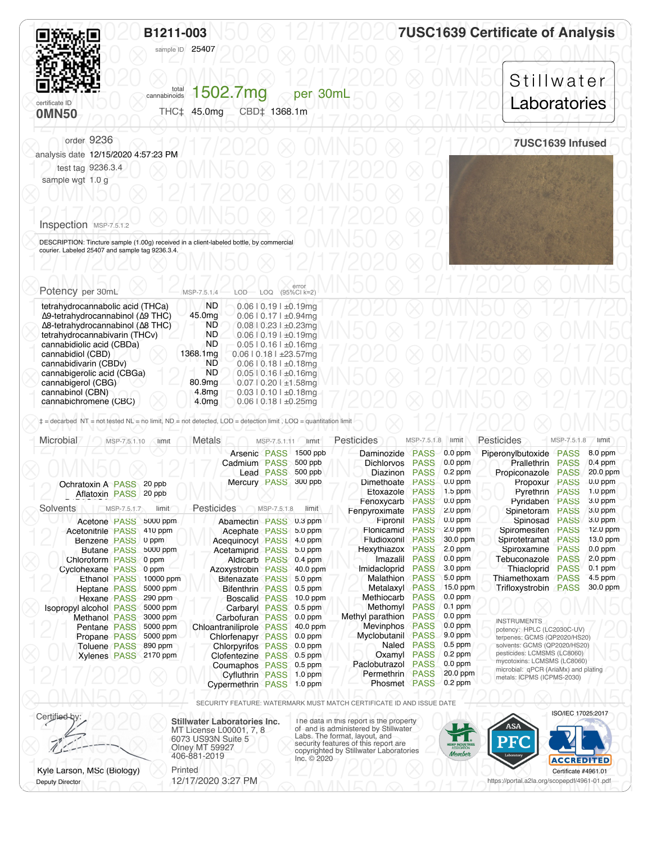<span id="page-1-0"></span>

| B1211-003<br>sample ID 25407                                                               |                                                                           | <b>7USC1639 Certificate of Analysis</b> |
|--------------------------------------------------------------------------------------------|---------------------------------------------------------------------------|-----------------------------------------|
| certificate ID<br><b>OMN50</b>                                                             | 1502.7mg<br>total<br>cannabinoids<br>per 30mL<br>THC‡ 45.0mg CBD‡ 1368.1m | Stillwater<br>Laboratories              |
| order 9236<br>analysis date 12/15/2020 4:57:23 PM<br>test tag 9236.3.4<br>sample wgt 1.0 g |                                                                           | 7USC1639 Infused                        |
| Inspection MSP-7.5.1.2                                                                     |                                                                           |                                         |

| Potency per 30mL                                  | MSP-7.5.1.4        | error<br>LOD LOQ (95%CI k=2)    |  |  |
|---------------------------------------------------|--------------------|---------------------------------|--|--|
| tetrahydrocannabolic acid (THCa)                  | <b>ND</b>          | $0.06$   $0.19$   $\pm 0.19$ mg |  |  |
| Δ9-tetrahydrocannabinol (Δ9 THC)                  | 45.0 <sub>mq</sub> | $0.06$   $0.17$   $\pm 0.94$ mg |  |  |
| $\Delta$ 8-tetrahydrocannabinol ( $\Delta$ 8 THC) | ND.                | $0.08$   0.23   $\pm 0.23$ mg   |  |  |
| tetrahydrocannabivarin (THCv)                     | ND                 | $0.06$   $0.19$   $\pm 0.19$ mg |  |  |
| cannabidiolic acid (CBDa)                         | ND.                | $0.05$   $0.16$   $\pm 0.16$ mg |  |  |
| cannabidiol (CBD)                                 | 1368.1mg           | $0.06$   0.18   $\pm$ 23.57mg   |  |  |
| cannabidivarin (CBDv)                             | ND                 | $0.06$   $0.18$   $\pm 0.18$ mg |  |  |
| cannabigerolic acid (CBGa)                        | ND.                | $0.05$   $0.16$   $\pm 0.16$ mg |  |  |
| cannabigerol (CBG)                                | 80.9 <sub>ma</sub> | $0.07$   0.20   $\pm$ 1.58mg    |  |  |
| cannabinol (CBN)                                  | 4.8mg              | $0.03$   $0.10$   $\pm 0.18$ mg |  |  |
| cannabichromene (CBC)                             | 4.0 <sub>mg</sub>  | $0.06$   0.18   $\pm 0.25$ mg   |  |  |

| Microbial                     | MSP-7.5.1.10 | limit     | Metals                   | MSP-7.5.1.11     | limit      | Pesticides        | MSP-7.5.1.8 | limit     | Pesticides                                                 | MSP-7.5.1.8 | limit      |
|-------------------------------|--------------|-----------|--------------------------|------------------|------------|-------------------|-------------|-----------|------------------------------------------------------------|-------------|------------|
|                               |              |           | Arsenic PASS             |                  | 1500 ppb   | Daminozide        | <b>PASS</b> | $0.0$ ppm | Piperonylbutoxide                                          | <b>PASS</b> | 8.0 ppm    |
|                               |              |           | Cadmium PASS             |                  | 500 ppb    | <b>Dichlorvos</b> | <b>PASS</b> | $0.0$ ppm | Prallethrin                                                | <b>PASS</b> | $0.4$ ppm  |
|                               |              |           |                          | <b>Lead PASS</b> | 500 ppb    | Diazinon          | <b>PASS</b> | $0.2$ ppm | Propiconazole                                              | <b>PASS</b> | 20.0 ppm   |
| <b>Ochratoxin A PASS</b>      |              | 20 ppb    | Mercury PASS             |                  | 300 ppb    | Dimethoate        | <b>PASS</b> | $0.0$ ppm | Propoxur                                                   | <b>PASS</b> | $0.0$ ppm  |
| Aflatoxin PASS                |              | 20 ppb    |                          |                  |            | Etoxazole         | <b>PASS</b> | $1.5$ ppm | Pyrethrin                                                  | <b>PASS</b> | $1.0$ ppm  |
|                               |              |           |                          |                  |            | Fenoxycarb        | <b>PASS</b> | $0.0$ ppm | Pvridaben                                                  | <b>PASS</b> | 3.0 ppm    |
| <b>Solvents</b>               | MSP-7.5.1.7  | limit     | Pesticides               | MSP-7.5.1.8      | limit      | Fenpyroximate     | <b>PASS</b> | $2.0$ ppm | Spinetoram                                                 | <b>PASS</b> | $3.0$ ppm  |
| Acetone PASS                  |              | 5000 ppm  | Abamectin PASS 0.3 ppm   |                  |            | Fipronil          | <b>PASS</b> | $0.0$ ppm | Spinosad                                                   | <b>PASS</b> | 3.0 ppm    |
| <b>Acetonitrile PASS</b>      |              | 410 ppm   | Acephate PASS            |                  | $5.0$ ppm  | Flonicamid        | <b>PASS</b> | $2.0$ ppm | Spiromesifen                                               | PASS        | $12.0$ ppm |
| Benzene PASS                  |              | 0 ppm     | <b>Acequinocyl PASS</b>  |                  | $4.0$ ppm  | Fludioxonil       | <b>PASS</b> | 30.0 ppm  | Spirotetramat                                              | <b>PASS</b> | 13.0 ppm   |
| <b>Butane PASS</b>            |              | 5000 ppm  | Acetamiprid PASS         |                  | 5.0 ppm    | Hexythiazox       | <b>PASS</b> | 2.0 ppm   | Spiroxamine                                                | <b>PASS</b> | $0.0$ ppm  |
| Chloroform PASS               |              | 0 ppm     | <b>Aldicarb PASS</b>     |                  | $0.4$ ppm  | Imazalil          | <b>PASS</b> | $0.0$ ppm | Tebuconazole                                               | <b>PASS</b> | $2.0$ ppm  |
| Cyclohexane PASS              |              | 0 ppm     | Azoxystrobin PASS        |                  | 40.0 ppm   | Imidacloprid      | <b>PASS</b> | 3.0 ppm   | Thiacloprid                                                | <b>PASS</b> | $0.1$ ppm  |
| <b>Ethanol PASS</b>           |              | 10000 ppm | <b>Bifenazate PASS</b>   |                  | $5.0$ ppm  | Malathion         | <b>PASS</b> | $5.0$ ppm | Thiamethoxam                                               | <b>PASS</b> | 4.5 ppm    |
| Heptane PASS                  |              | 5000 ppm  | <b>Bifenthrin PASS</b>   |                  | $0.5$ ppm  | Metalaxyl         | <b>PASS</b> | 15.0 ppm  | Trifloxystrobin                                            | <b>PASS</b> | 30.0 ppm   |
| Hexane PASS                   |              | 290 ppm   | <b>Boscalid PASS</b>     |                  | $10.0$ ppm | Methiocarb        | <b>PASS</b> | $0.0$ ppm |                                                            |             |            |
| <b>Isopropyl alcohol PASS</b> |              | 5000 ppm  | Carbaryl PASS            |                  | $0.5$ ppm  | Methomyl          | <b>PASS</b> | $0.1$ ppm |                                                            |             |            |
| <b>Methanol PASS</b>          |              | 3000 ppm  | Carbofuran PASS          |                  | $0.0$ ppm  | Methyl parathion  | <b>PASS</b> | $0.0$ ppm | <b>INSTRUMENTS</b>                                         |             |            |
| Pentane PASS                  |              | 5000 ppm  | Chloantraniliprole PASS  |                  | 40.0 ppm   | Mevinphos         | <b>PASS</b> | $0.0$ ppm | potency: HPLC (LC2030C-UV)                                 |             |            |
| Propane PASS                  |              | 5000 ppm  | Chlorfenapyr PASS        |                  | $0.0$ ppm  | Myclobutanil      | <b>PASS</b> | $9.0$ ppm | terpenes: GCMS (QP2020/HS20)                               |             |            |
| Toluene PASS                  |              | 890 ppm   | <b>Chlorpyrifos PASS</b> |                  | $0.0$ ppm  | Naled             | <b>PASS</b> | $0.5$ ppm | solvents: GCMS (QP2020/HS20)                               |             |            |
| <b>Xylenes PASS</b>           |              | 2170 ppm  | Clofentezine             | <b>PASS</b>      | $0.5$ ppm  | Oxamyl            | <b>PASS</b> | $0.2$ ppm | pesticides: LCMSMS (LC8060)<br>mycotoxins: LCMSMS (LC8060) |             |            |
|                               |              |           | Coumaphos PASS           |                  | $0.5$ ppm  | Paclobutrazol     | <b>PASS</b> | $0.0$ ppm | microbial: qPCR (AriaMx) and plating                       |             |            |
|                               |              |           | <b>Cyfluthrin PASS</b>   |                  | $1.0$ ppm  | Permethrin        | <b>PASS</b> | 20.0 ppm  | metals: ICPMS (ICPMS-2030)                                 |             |            |
|                               |              |           | Cypermethrin PASS        |                  | $1.0$ ppm  | Phosmet PASS      |             | $0.2$ ppm |                                                            |             |            |

⨂ 0MN50 ⨂ 12/17/2020 ⨂ 0MN50 ⨂ 12/17/2020 ⨂ 0MN50 ⨂ SECURITY FEATURE: WATERMARK MUST MATCH CERTIFICATE ID AND ISSUE DATE

Certified by: **Stillwater Laboratories Inc.** MT License L00001, 7, 8 6073 US93N Suite 5 Olney MT 59927 406-881-2019

Certified by:<br>MT License L00001, 7, 8<br>6073 US93N Suite 5<br>Labs. The format, layout, and<br>Labs. The format, layout, and CONSUSSION Suite 5<br>
Olney MT 59927<br>
406-881-2019<br>
Inc. © 2020<br>
Inc. © 2020 Certificate #4961.01 ISO/IEC 17025:2017

https://portal.a2la.org/scopepdf/4961-01.pdf

 $\bigotimes$  below break in Fig. 12/17/2020 0.20 12/17/20  $\bigcirc$  10/11/150  $\bigcirc$  12/17/20 12/17/2020 0.2020 12/150 Kyle Larson, MSc (Biology) Printed Deputy Director

Ryle Larson, MSc (Biology)<br>
12/17/2020 3:27 PM<br>
Dentificate #4961.01 12/17/2020 3:27 PM